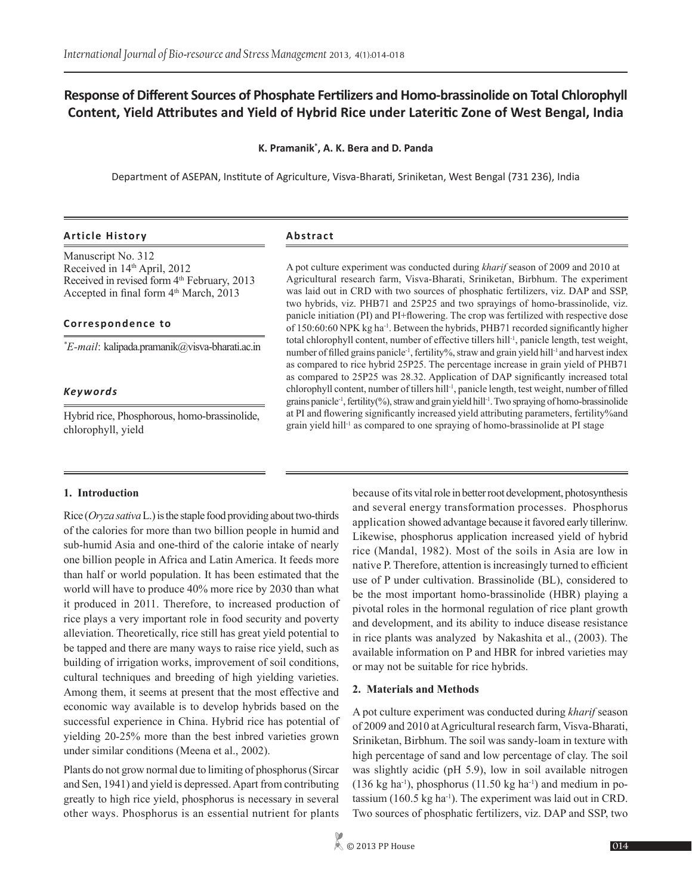# **Response of Different Sources of Phosphate Fertilizers and Homo-brassinolide on Total Chlorophyll Content, Yield Attributes and Yield of Hybrid Rice under Lateritic Zone of West Bengal, India**

## **K. Pramanik\* , A. K. Bera and D. Panda**

Department of ASEPAN, Institute of Agriculture, Visva-Bharati, Sriniketan, West Bengal (731 236), India

## **Article History Abstract**

Manuscript No. 312 Received in 14<sup>th</sup> April, 2012 Received in revised form 4<sup>th</sup> February, 2013 Accepted in final form  $4<sup>th</sup> March$ , 2013

## **Correspondence to**

*\* E-mail*: kalipada.pramanik@visva-bharati.ac.in

## *Keywords*

Hybrid rice, Phosphorous, homo-brassinolide, chlorophyll, yield

A pot culture experiment was conducted during *kharif* season of 2009 and 2010 at Agricultural research farm, Visva-Bharati, Sriniketan, Birbhum. The experiment was laid out in CRD with two sources of phosphatic fertilizers, viz. DAP and SSP, two hybrids, viz. PHB71 and 25P25 and two sprayings of homo-brassinolide, viz. panicle initiation (PI) and PI+flowering. The crop was fertilized with respective dose of 150:60:60 NPK kg ha-1. Between the hybrids, PHB71 recorded significantly higher total chlorophyll content, number of effective tillers hill-1, panicle length, test weight, number of filled grains panicle<sup>-1</sup>, fertility%, straw and grain yield hill<sup>-1</sup> and harvest index as compared to rice hybrid 25P25. The percentage increase in grain yield of PHB71 as compared to 25P25 was 28.32. Application of DAP significantly increased total chlorophyll content, number of tillers hill<sup>-1</sup>, panicle length, test weight, number of filled grains panicle<sup>-1</sup>, fertility(%), straw and grain yield hill<sup>-1</sup>. Two spraying of homo-brassinolide at PI and flowering significantly increased yield attributing parameters, fertility%and grain yield hill-1 as compared to one spraying of homo-brassinolide at PI stage

## **1. Introduction**

Rice (*Oryza sativa* L.) is the staple food providing about two-thirds of the calories for more than two billion people in humid and sub-humid Asia and one-third of the calorie intake of nearly one billion people in Africa and Latin America. It feeds more than half or world population. It has been estimated that the world will have to produce 40% more rice by 2030 than what it produced in 2011. Therefore, to increased production of rice plays a very important role in food security and poverty alleviation. Theoretically, rice still has great yield potential to be tapped and there are many ways to raise rice yield, such as building of irrigation works, improvement of soil conditions, cultural techniques and breeding of high yielding varieties. Among them, it seems at present that the most effective and economic way available is to develop hybrids based on the successful experience in China. Hybrid rice has potential of yielding 20-25% more than the best inbred varieties grown under similar conditions (Meena et al., 2002).

Plants do not grow normal due to limiting of phosphorus (Sircar and Sen, 1941) and yield is depressed. Apart from contributing greatly to high rice yield, phosphorus is necessary in several other ways. Phosphorus is an essential nutrient for plants because of its vital role in better root development, photosynthesis and several energy transformation processes. Phosphorus application showed advantage because it favored early tillerinw. Likewise, phosphorus application increased yield of hybrid rice (Mandal, 1982). Most of the soils in Asia are low in native P. Therefore, attention is increasingly turned to efficient use of P under cultivation. Brassinolide (BL), considered to be the most important homo-brassinolide (HBR) playing a pivotal roles in the hormonal regulation of rice plant growth and development, and its ability to induce disease resistance in rice plants was analyzed by Nakashita et al., (2003). The available information on P and HBR for inbred varieties may or may not be suitable for rice hybrids.

## **2. Materials and Methods**

A pot culture experiment was conducted during *kharif* season of 2009 and 2010 at Agricultural research farm, Visva-Bharati, Sriniketan, Birbhum. The soil was sandy-loam in texture with high percentage of sand and low percentage of clay. The soil was slightly acidic (pH 5.9), low in soil available nitrogen  $(136 \text{ kg ha}^{-1})$ , phosphorus  $(11.50 \text{ kg ha}^{-1})$  and medium in potassium  $(160.5 \text{ kg ha}^{-1})$ . The experiment was laid out in CRD. Two sources of phosphatic fertilizers, viz. DAP and SSP, two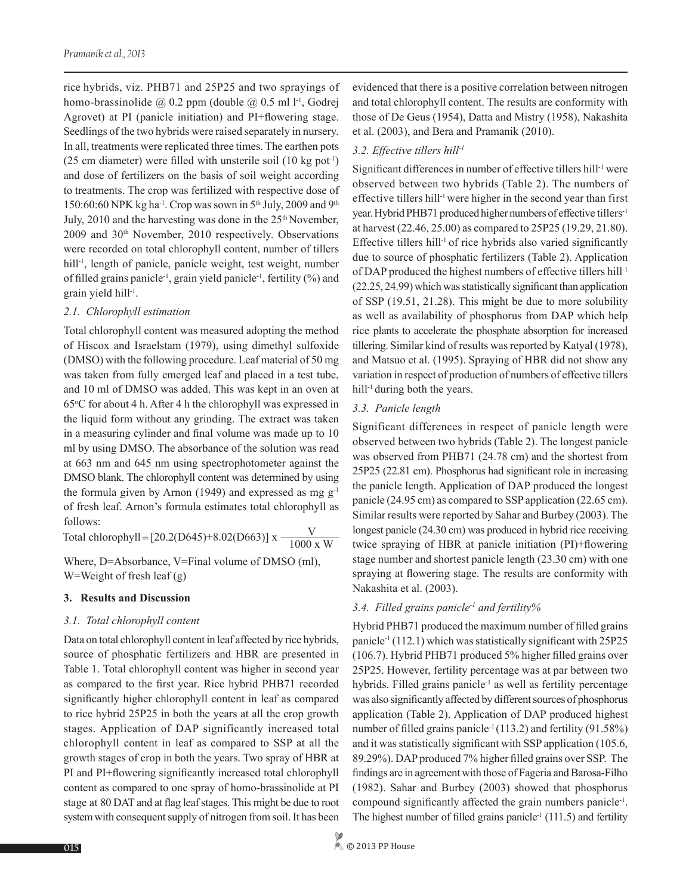rice hybrids, viz. PHB71 and 25P25 and two sprayings of homo-brassinolide  $\omega$  0.2 ppm (double  $\omega$  0.5 ml 1<sup>-1</sup>, Godrej Agrovet) at PI (panicle initiation) and PI+flowering stage. Seedlings of the two hybrids were raised separately in nursery. In all, treatments were replicated three times. The earthen pots (25 cm diameter) were filled with unsterile soil  $(10 \text{ kg pot}^{-1})$ and dose of fertilizers on the basis of soil weight according to treatments. The crop was fertilized with respective dose of 150:60:60 NPK kg ha<sup>-1</sup>. Crop was sown in 5<sup>th</sup> July, 2009 and 9<sup>th</sup> July, 2010 and the harvesting was done in the  $25<sup>th</sup>$  November, 2009 and 30th November, 2010 respectively. Observations were recorded on total chlorophyll content, number of tillers hill<sup>-1</sup>, length of panicle, panicle weight, test weight, number of filled grains panicle-1, grain yield panicle-1, fertility (%) and grain yield hill-1.

### *2.1. Chlorophyll estimation*

Total chlorophyll content was measured adopting the method of Hiscox and Israelstam (1979), using dimethyl sulfoxide (DMSO) with the following procedure. Leaf material of 50 mg was taken from fully emerged leaf and placed in a test tube, and 10 ml of DMSO was added. This was kept in an oven at 65o C for about 4 h. After 4 h the chlorophyll was expressed in the liquid form without any grinding. The extract was taken in a measuring cylinder and final volume was made up to 10 ml by using DMSO. The absorbance of the solution was read at 663 nm and 645 nm using spectrophotometer against the DMSO blank. The chlorophyll content was determined by using the formula given by Arnon (1949) and expressed as mg  $g^{-1}$ of fresh leaf. Arnon's formula estimates total chlorophyll as follows:

Where, D=Absorbance, V=Final volume of DMSO (ml), W=Weight of fresh leaf (g) Total chlorophyll = [20.2(D645)+8.02(D663)] x  $\frac{\text{V}}{1000 \text{ x W}}$ 

#### **3. Results and Discussion**

#### *3.1. Total chlorophyll content*

Data on total chlorophyll content in leaf affected by rice hybrids, source of phosphatic fertilizers and HBR are presented in Table 1. Total chlorophyll content was higher in second year as compared to the first year. Rice hybrid PHB71 recorded significantly higher chlorophyll content in leaf as compared to rice hybrid 25P25 in both the years at all the crop growth stages. Application of DAP significantly increased total chlorophyll content in leaf as compared to SSP at all the growth stages of crop in both the years. Two spray of HBR at PI and PI+flowering significantly increased total chlorophyll content as compared to one spray of homo-brassinolide at PI stage at 80 DAT and at flag leaf stages. This might be due to root system with consequent supply of nitrogen from soil. It has been evidenced that there is a positive correlation between nitrogen and total chlorophyll content. The results are conformity with those of De Geus (1954), Datta and Mistry (1958), Nakashita et al. (2003), and Bera and Pramanik (2010).

### *3.2. Effective tillers hill-1*

Significant differences in number of effective tillers hill<sup>-1</sup> were observed between two hybrids (Table 2). The numbers of effective tillers hill<sup>-1</sup> were higher in the second year than first year. Hybrid PHB71 produced higher numbers of effective tillers-1 at harvest (22.46, 25.00) as compared to 25P25 (19.29, 21.80). Effective tillers hill<sup>-1</sup> of rice hybrids also varied significantly due to source of phosphatic fertilizers (Table 2). Application of DAP produced the highest numbers of effective tillers hill-1 (22.25, 24.99) which was statistically significant than application of SSP (19.51, 21.28). This might be due to more solubility as well as availability of phosphorus from DAP which help rice plants to accelerate the phosphate absorption for increased tillering. Similar kind of results was reported by Katyal (1978), and Matsuo et al. (1995). Spraying of HBR did not show any variation in respect of production of numbers of effective tillers hill<sup>-1</sup> during both the years.

### *3.3. Panicle length*

Significant differences in respect of panicle length were observed between two hybrids (Table 2). The longest panicle was observed from PHB71 (24.78 cm) and the shortest from 25P25 (22.81 cm). Phosphorus had significant role in increasing the panicle length. Application of DAP produced the longest panicle (24.95 cm) as compared to SSP application (22.65 cm). Similar results were reported by Sahar and Burbey (2003). The longest panicle (24.30 cm) was produced in hybrid rice receiving twice spraying of HBR at panicle initiation (PI)+flowering stage number and shortest panicle length (23.30 cm) with one spraying at flowering stage. The results are conformity with Nakashita et al. (2003).

## *3.4. Filled grains panicle-1 and fertility%*

Hybrid PHB71 produced the maximum number of filled grains panicle-1 (112.1) which was statistically significant with 25P25 (106.7). Hybrid PHB71 produced 5% higher filled grains over 25P25. However, fertility percentage was at par between two hybrids. Filled grains panicle<sup>-1</sup> as well as fertility percentage was also significantly affected by different sources of phosphorus application (Table 2). Application of DAP produced highest number of filled grains panicle<sup>-1</sup> (113.2) and fertility (91.58%) and it was statistically significant with SSP application (105.6, 89.29%). DAP produced 7% higher filled grains over SSP. The findings are in agreement with those of Fageria and Barosa-Filho (1982). Sahar and Burbey (2003) showed that phosphorus compound significantly affected the grain numbers panicle<sup>1</sup>. The highest number of filled grains panicle<sup>-1</sup> (111.5) and fertility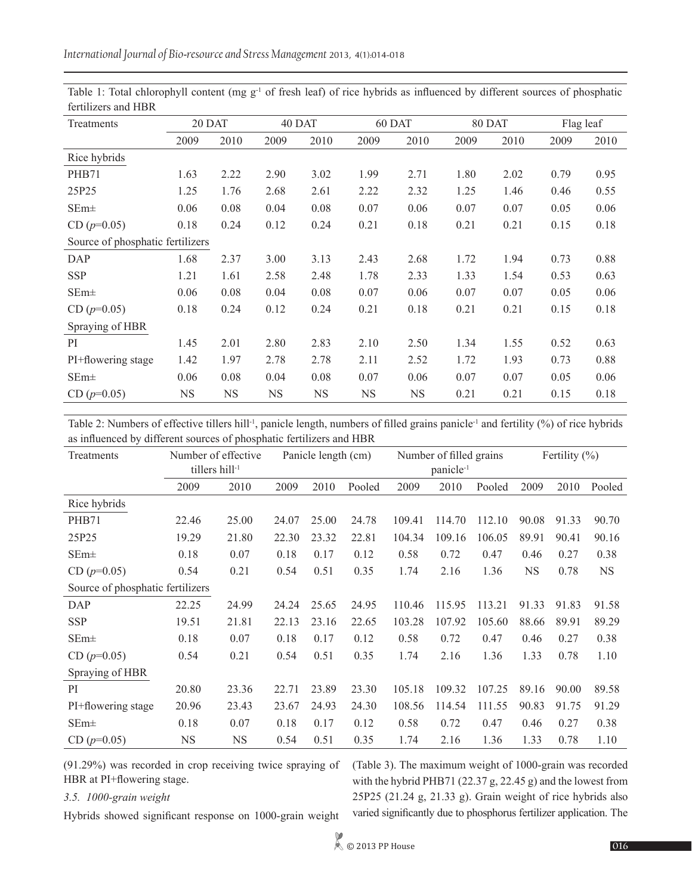| Treatments                       | 20 DAT    |           | 40 DAT |           | 60 DAT    |           | 80 DAT |      | Flag leaf |      |
|----------------------------------|-----------|-----------|--------|-----------|-----------|-----------|--------|------|-----------|------|
|                                  | 2009      | 2010      | 2009   | 2010      | 2009      | 2010      | 2009   | 2010 | 2009      | 2010 |
| Rice hybrids                     |           |           |        |           |           |           |        |      |           |      |
| PHB71                            | 1.63      | 2.22      | 2.90   | 3.02      | 1.99      | 2.71      | 1.80   | 2.02 | 0.79      | 0.95 |
| 25P25                            | 1.25      | 1.76      | 2.68   | 2.61      | 2.22      | 2.32      | 1.25   | 1.46 | 0.46      | 0.55 |
| $SEm\pm$                         | 0.06      | 0.08      | 0.04   | 0.08      | 0.07      | 0.06      | 0.07   | 0.07 | 0.05      | 0.06 |
| $CD (p=0.05)$                    | 0.18      | 0.24      | 0.12   | 0.24      | 0.21      | 0.18      | 0.21   | 0.21 | 0.15      | 0.18 |
| Source of phosphatic fertilizers |           |           |        |           |           |           |        |      |           |      |
| DAP                              | 1.68      | 2.37      | 3.00   | 3.13      | 2.43      | 2.68      | 1.72   | 1.94 | 0.73      | 0.88 |
| <b>SSP</b>                       | 1.21      | 1.61      | 2.58   | 2.48      | 1.78      | 2.33      | 1.33   | 1.54 | 0.53      | 0.63 |
| $SEm\pm$                         | 0.06      | 0.08      | 0.04   | 0.08      | 0.07      | 0.06      | 0.07   | 0.07 | 0.05      | 0.06 |
| $CD (p=0.05)$                    | 0.18      | 0.24      | 0.12   | 0.24      | 0.21      | 0.18      | 0.21   | 0.21 | 0.15      | 0.18 |
| Spraying of HBR                  |           |           |        |           |           |           |        |      |           |      |
| <sub>PI</sub>                    | 1.45      | 2.01      | 2.80   | 2.83      | 2.10      | 2.50      | 1.34   | 1.55 | 0.52      | 0.63 |
| PI+flowering stage               | 1.42      | 1.97      | 2.78   | 2.78      | 2.11      | 2.52      | 1.72   | 1.93 | 0.73      | 0.88 |
| $SEm\pm$                         | 0.06      | 0.08      | 0.04   | 0.08      | 0.07      | 0.06      | 0.07   | 0.07 | 0.05      | 0.06 |
| $CD (p=0.05)$                    | <b>NS</b> | <b>NS</b> | NS     | <b>NS</b> | <b>NS</b> | <b>NS</b> | 0.21   | 0.21 | 0.15      | 0.18 |

Table 1: Total chlorophyll content (mg  $g^{-1}$  of fresh leaf) of rice hybrids as influenced by different sources of phosphatic fertilizers and HBR

Table 2: Numbers of effective tillers hill<sup>-1</sup>, panicle length, numbers of filled grains panicle<sup>-1</sup> and fertility (%) of rice hybrids as influenced by different sources of phosphatic fertilizers and HBR

| Treatments                       | Number of effective |           | Panicle length (cm) |       |        | Number of filled grains |                       |        | Fertility $(\% )$ |       |           |
|----------------------------------|---------------------|-----------|---------------------|-------|--------|-------------------------|-----------------------|--------|-------------------|-------|-----------|
|                                  | tillers hill-1      |           |                     |       |        |                         | panicle <sup>-1</sup> |        |                   |       |           |
|                                  | 2009                | 2010      | 2009                | 2010  | Pooled | 2009                    | 2010                  | Pooled | 2009              | 2010  | Pooled    |
| Rice hybrids                     |                     |           |                     |       |        |                         |                       |        |                   |       |           |
| PHB71                            | 22.46               | 25.00     | 24.07               | 25.00 | 24.78  | 109.41                  | 114.70                | 112.10 | 90.08             | 91.33 | 90.70     |
| 25P25                            | 19.29               | 21.80     | 22.30               | 23.32 | 22.81  | 104.34                  | 109.16                | 106.05 | 89.91             | 90.41 | 90.16     |
| $SEm\pm$                         | 0.18                | 0.07      | 0.18                | 0.17  | 0.12   | 0.58                    | 0.72                  | 0.47   | 0.46              | 0.27  | 0.38      |
| $CD (p=0.05)$                    | 0.54                | 0.21      | 0.54                | 0.51  | 0.35   | 1.74                    | 2.16                  | 1.36   | <b>NS</b>         | 0.78  | <b>NS</b> |
| Source of phosphatic fertilizers |                     |           |                     |       |        |                         |                       |        |                   |       |           |
| <b>DAP</b>                       | 22.25               | 24.99     | 24.24               | 25.65 | 24.95  | 110.46                  | 115.95                | 113.21 | 91.33             | 91.83 | 91.58     |
| <b>SSP</b>                       | 19.51               | 21.81     | 22.13               | 23.16 | 22.65  | 103.28                  | 107.92                | 105.60 | 88.66             | 89.91 | 89.29     |
| $SEm\pm$                         | 0.18                | 0.07      | 0.18                | 0.17  | 0.12   | 0.58                    | 0.72                  | 0.47   | 0.46              | 0.27  | 0.38      |
| $CD (p=0.05)$                    | 0.54                | 0.21      | 0.54                | 0.51  | 0.35   | 1.74                    | 2.16                  | 1.36   | 1.33              | 0.78  | 1.10      |
| Spraying of HBR                  |                     |           |                     |       |        |                         |                       |        |                   |       |           |
| PI                               | 20.80               | 23.36     | 22.71               | 23.89 | 23.30  | 105.18                  | 109.32                | 107.25 | 89.16             | 90.00 | 89.58     |
| PI+flowering stage               | 20.96               | 23.43     | 23.67               | 24.93 | 24.30  | 108.56                  | 114.54                | 111.55 | 90.83             | 91.75 | 91.29     |
| $SEm\pm$                         | 0.18                | 0.07      | 0.18                | 0.17  | 0.12   | 0.58                    | 0.72                  | 0.47   | 0.46              | 0.27  | 0.38      |
| $CD (p=0.05)$                    | <b>NS</b>           | <b>NS</b> | 0.54                | 0.51  | 0.35   | 1.74                    | 2.16                  | 1.36   | 1.33              | 0.78  | 1.10      |

(91.29%) was recorded in crop receiving twice spraying of HBR at PI+flowering stage.

## *3.5. 1000-grain weight*

Hybrids showed significant response on 1000-grain weight

(Table 3). The maximum weight of 1000-grain was recorded with the hybrid PHB71 (22.37 g, 22.45 g) and the lowest from 25P25 (21.24 g, 21.33 g). Grain weight of rice hybrids also varied significantly due to phosphorus fertilizer application. The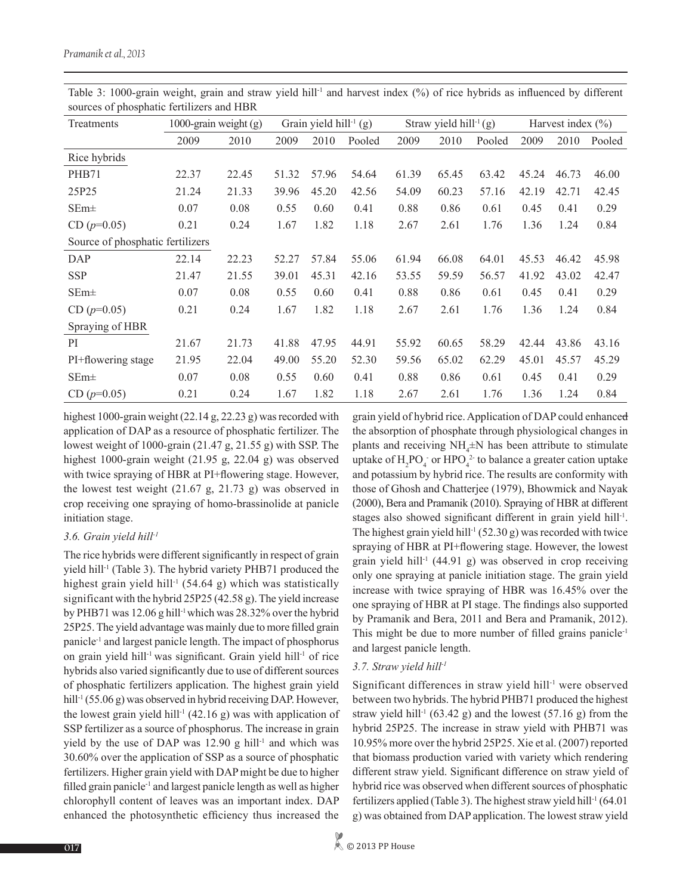| Treatments                       | 1000-grain weight (g) |       | Grain yield hill <sup>-1</sup> (g) |       |        | Straw yield hill <sup>-1</sup> (g) |       |        | Harvest index $(\% )$ |       |        |
|----------------------------------|-----------------------|-------|------------------------------------|-------|--------|------------------------------------|-------|--------|-----------------------|-------|--------|
|                                  | 2009                  | 2010  | 2009                               | 2010  | Pooled | 2009                               | 2010  | Pooled | 2009                  | 2010  | Pooled |
| Rice hybrids                     |                       |       |                                    |       |        |                                    |       |        |                       |       |        |
| PHB71                            | 22.37                 | 22.45 | 51.32                              | 57.96 | 54.64  | 61.39                              | 65.45 | 63.42  | 45.24                 | 46.73 | 46.00  |
| 25P25                            | 21.24                 | 21.33 | 39.96                              | 45.20 | 42.56  | 54.09                              | 60.23 | 57.16  | 42.19                 | 42.71 | 42.45  |
| $SEm\pm$                         | 0.07                  | 0.08  | 0.55                               | 0.60  | 0.41   | 0.88                               | 0.86  | 0.61   | 0.45                  | 0.41  | 0.29   |
| $CD (p=0.05)$                    | 0.21                  | 0.24  | 1.67                               | 1.82  | 1.18   | 2.67                               | 2.61  | 1.76   | 1.36                  | 1.24  | 0.84   |
| Source of phosphatic fertilizers |                       |       |                                    |       |        |                                    |       |        |                       |       |        |
| DAP                              | 22.14                 | 22.23 | 52.27                              | 57.84 | 55.06  | 61.94                              | 66.08 | 64.01  | 45.53                 | 46.42 | 45.98  |
| <b>SSP</b>                       | 21.47                 | 21.55 | 39.01                              | 45.31 | 42.16  | 53.55                              | 59.59 | 56.57  | 41.92                 | 43.02 | 42.47  |
| $SEm\pm$                         | 0.07                  | 0.08  | 0.55                               | 0.60  | 0.41   | 0.88                               | 0.86  | 0.61   | 0.45                  | 0.41  | 0.29   |
| $CD (p=0.05)$                    | 0.21                  | 0.24  | 1.67                               | 1.82  | 1.18   | 2.67                               | 2.61  | 1.76   | 1.36                  | 1.24  | 0.84   |
| Spraying of HBR                  |                       |       |                                    |       |        |                                    |       |        |                       |       |        |
| PI                               | 21.67                 | 21.73 | 41.88                              | 47.95 | 44.91  | 55.92                              | 60.65 | 58.29  | 42.44                 | 43.86 | 43.16  |
| PI+flowering stage               | 21.95                 | 22.04 | 49.00                              | 55.20 | 52.30  | 59.56                              | 65.02 | 62.29  | 45.01                 | 45.57 | 45.29  |
| $SEm\pm$                         | 0.07                  | 0.08  | 0.55                               | 0.60  | 0.41   | 0.88                               | 0.86  | 0.61   | 0.45                  | 0.41  | 0.29   |
| $CD (p=0.05)$                    | 0.21                  | 0.24  | 1.67                               | 1.82  | 1.18   | 2.67                               | 2.61  | 1.76   | 1.36                  | 1.24  | 0.84   |

Table 3: 1000-grain weight, grain and straw yield hill<sup>-1</sup> and harvest index (%) of rice hybrids as influenced by different sources of phosphatic fertilizers and HBR

highest 1000-grain weight (22.14 g, 22.23 g) was recorded with application of DAP as a resource of phosphatic fertilizer. The lowest weight of 1000-grain (21.47 g, 21.55 g) with SSP. The highest 1000-grain weight (21.95 g, 22.04 g) was observed with twice spraying of HBR at PI+flowering stage. However, the lowest test weight (21.67 g, 21.73 g) was observed in crop receiving one spraying of homo-brassinolide at panicle initiation stage.

## *3.6. Grain yield hill-1*

The rice hybrids were different significantly in respect of grain yield hill-1 (Table 3). The hybrid variety PHB71 produced the highest grain yield hill<sup>-1</sup> (54.64 g) which was statistically significant with the hybrid 25P25 (42.58 g). The yield increase by PHB71 was 12.06 g hill<sup>-1</sup> which was 28.32% over the hybrid 25P25. The yield advantage was mainly due to more filled grain panicle-1 and largest panicle length. The impact of phosphorus on grain yield hill-1 was significant. Grain yield hill-1 of rice hybrids also varied significantly due to use of different sources of phosphatic fertilizers application. The highest grain yield hill<sup>-1</sup> (55.06 g) was observed in hybrid receiving DAP. However, the lowest grain yield hill<sup>-1</sup> (42.16 g) was with application of SSP fertilizer as a source of phosphorus. The increase in grain yield by the use of DAP was  $12.90 \text{ g hill}^{-1}$  and which was 30.60% over the application of SSP as a source of phosphatic fertilizers. Higher grain yield with DAP might be due to higher filled grain panicle<sup>-1</sup> and largest panicle length as well as higher chlorophyll content of leaves was an important index. DAP enhanced the photosynthetic efficiency thus increased the grain yield of hybrid rice. Application of DAP could enhanced the absorption of phosphate through physiological changes in plants and receiving  $NH_4^{\pm}N$  has been attribute to stimulate uptake of  $H_2PO_4$  or  $HPO_4^2$  to balance a greater cation uptake and potassium by hybrid rice. The results are conformity with those of Ghosh and Chatterjee (1979), Bhowmick and Nayak (2000), Bera and Pramanik (2010). Spraying of HBR at different stages also showed significant different in grain yield hill-1. The highest grain yield hill<sup>-1</sup> (52.30 g) was recorded with twice spraying of HBR at PI+flowering stage. However, the lowest grain yield hill<sup>-1</sup> (44.91 g) was observed in crop receiving only one spraying at panicle initiation stage. The grain yield increase with twice spraying of HBR was 16.45% over the one spraying of HBR at PI stage. The findings also supported by Pramanik and Bera, 2011 and Bera and Pramanik, 2012). This might be due to more number of filled grains panicle<sup>-1</sup> and largest panicle length.

## *3.7. Straw yield hill-1*

Significant differences in straw yield hill<sup>-1</sup> were observed between two hybrids. The hybrid PHB71 produced the highest straw yield hill<sup>-1</sup> (63.42 g) and the lowest (57.16 g) from the hybrid 25P25. The increase in straw yield with PHB71 was 10.95% more over the hybrid 25P25. Xie et al. (2007) reported that biomass production varied with variety which rendering different straw yield. Significant difference on straw yield of hybrid rice was observed when different sources of phosphatic fertilizers applied (Table 3). The highest straw yield hill-1 (64.01 g) was obtained from DAP application. The lowest straw yield